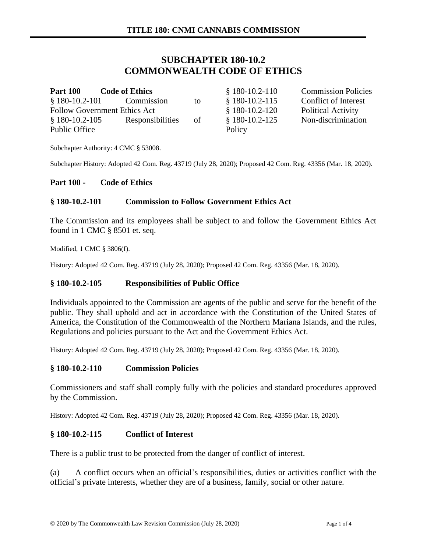# **SUBCHAPTER 180-10.2 COMMONWEALTH CODE OF ETHICS**

| <b>Part 100</b> | <b>Code of Ethics</b>               |    | $$180-10.2-110$ |
|-----------------|-------------------------------------|----|-----------------|
|                 | $$180-10.2-101$ Commission          | to | $$180-10.2-11$  |
|                 | <b>Follow Government Ethics Act</b> |    | $$180-10.2-120$ |
| $$180-10.2-105$ | Responsibilities                    | of | $$180-10.2-12$  |
| Public Office   |                                     |    | Policy          |

0 Commission Policies § 180-10.2-115 Conflict of Interest 0 Political Activity § 180-10.2-125 Non-discrimination

Subchapter Authority: 4 CMC § 53008.

Subchapter History: Adopted 42 Com. Reg. 43719 (July 28, 2020); Proposed 42 Com. Reg. 43356 (Mar. 18, 2020).

#### **Part 100 - Code of Ethics**

### **§ 180-10.2-101 Commission to Follow Government Ethics Act**

The Commission and its employees shall be subject to and follow the Government Ethics Act found in 1 CMC § 8501 et. seq.

Modified, 1 CMC § 3806(f).

History: Adopted 42 Com. Reg. 43719 (July 28, 2020); Proposed 42 Com. Reg. 43356 (Mar. 18, 2020).

### **§ 180-10.2-105 Responsibilities of Public Office**

Individuals appointed to the Commission are agents of the public and serve for the benefit of the public. They shall uphold and act in accordance with the Constitution of the United States of America, the Constitution of the Commonwealth of the Northern Mariana Islands, and the rules, Regulations and policies pursuant to the Act and the Government Ethics Act.

History: Adopted 42 Com. Reg. 43719 (July 28, 2020); Proposed 42 Com. Reg. 43356 (Mar. 18, 2020).

### **§ 180-10.2-110 Commission Policies**

Commissioners and staff shall comply fully with the policies and standard procedures approved by the Commission.

History: Adopted 42 Com. Reg. 43719 (July 28, 2020); Proposed 42 Com. Reg. 43356 (Mar. 18, 2020).

### **§ 180-10.2-115 Conflict of Interest**

There is a public trust to be protected from the danger of conflict of interest.

(a) A conflict occurs when an official's responsibilities, duties or activities conflict with the official's private interests, whether they are of a business, family, social or other nature.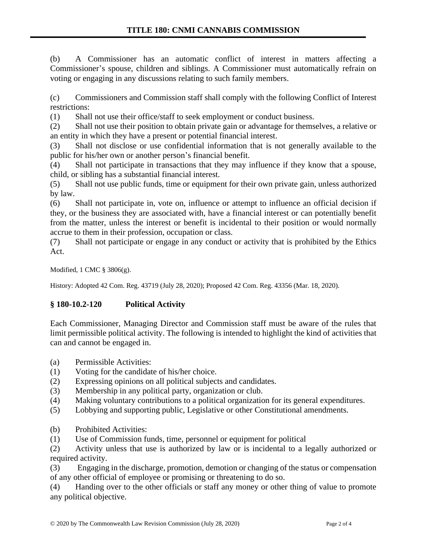(b) A Commissioner has an automatic conflict of interest in matters affecting a Commissioner's spouse, children and siblings. A Commissioner must automatically refrain on voting or engaging in any discussions relating to such family members.

(c) Commissioners and Commission staff shall comply with the following Conflict of Interest restrictions:

(1) Shall not use their office/staff to seek employment or conduct business.

(2) Shall not use their position to obtain private gain or advantage for themselves, a relative or an entity in which they have a present or potential financial interest.

(3) Shall not disclose or use confidential information that is not generally available to the public for his/her own or another person's financial benefit.

(4) Shall not participate in transactions that they may influence if they know that a spouse, child, or sibling has a substantial financial interest.

(5) Shall not use public funds, time or equipment for their own private gain, unless authorized by law.

(6) Shall not participate in, vote on, influence or attempt to influence an official decision if they, or the business they are associated with, have a financial interest or can potentially benefit from the matter, unless the interest or benefit is incidental to their position or would normally accrue to them in their profession, occupation or class.

(7) Shall not participate or engage in any conduct or activity that is prohibited by the Ethics Act.

Modified, 1 CMC § 3806(g).

History: Adopted 42 Com. Reg. 43719 (July 28, 2020); Proposed 42 Com. Reg. 43356 (Mar. 18, 2020).

## **§ 180-10.2-120 Political Activity**

Each Commissioner, Managing Director and Commission staff must be aware of the rules that limit permissible political activity. The following is intended to highlight the kind of activities that can and cannot be engaged in.

- (a) Permissible Activities:
- (1) Voting for the candidate of his/her choice.
- (2) Expressing opinions on all political subjects and candidates.
- (3) Membership in any political party, organization or club.
- (4) Making voluntary contributions to a political organization for its general expenditures.
- (5) Lobbying and supporting public, Legislative or other Constitutional amendments.
- (b) Prohibited Activities:

(1) Use of Commission funds, time, personnel or equipment for political

(2) Activity unless that use is authorized by law or is incidental to a legally authorized or required activity.

(3) Engaging in the discharge, promotion, demotion or changing of the status or compensation of any other official of employee or promising or threatening to do so.

(4) Handing over to the other officials or staff any money or other thing of value to promote any political objective.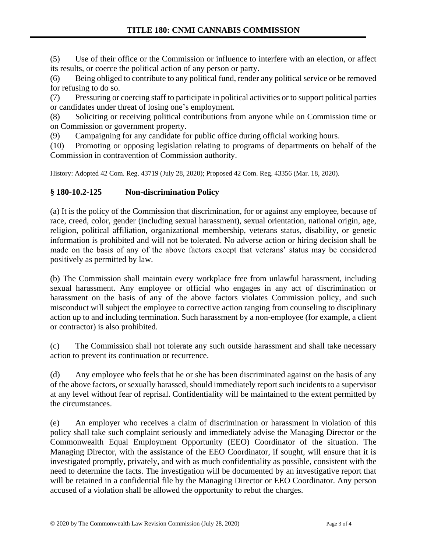(5) Use of their office or the Commission or influence to interfere with an election, or affect its results, or coerce the political action of any person or party.

(6) Being obliged to contribute to any political fund, render any political service or be removed for refusing to do so.

(7) Pressuring or coercing staff to participate in political activities or to support political parties or candidates under threat of losing one's employment.

(8) Soliciting or receiving political contributions from anyone while on Commission time or on Commission or government property.

(9) Campaigning for any candidate for public office during official working hours.

(10) Promoting or opposing legislation relating to programs of departments on behalf of the Commission in contravention of Commission authority.

History: Adopted 42 Com. Reg. 43719 (July 28, 2020); Proposed 42 Com. Reg. 43356 (Mar. 18, 2020).

## **§ 180-10.2-125 Non-discrimination Policy**

(a) It is the policy of the Commission that discrimination, for or against any employee, because of race, creed, color, gender (including sexual harassment), sexual orientation, national origin, age, religion, political affiliation, organizational membership, veterans status, disability, or genetic information is prohibited and will not be tolerated. No adverse action or hiring decision shall be made on the basis of any of the above factors except that veterans' status may be considered positively as permitted by law.

(b) The Commission shall maintain every workplace free from unlawful harassment, including sexual harassment. Any employee or official who engages in any act of discrimination or harassment on the basis of any of the above factors violates Commission policy, and such misconduct will subject the employee to corrective action ranging from counseling to disciplinary action up to and including termination. Such harassment by a non-employee (for example, a client or contractor) is also prohibited.

(c) The Commission shall not tolerate any such outside harassment and shall take necessary action to prevent its continuation or recurrence.

(d) Any employee who feels that he or she has been discriminated against on the basis of any of the above factors, or sexually harassed, should immediately report such incidents to a supervisor at any level without fear of reprisal. Confidentiality will be maintained to the extent permitted by the circumstances.

(e) An employer who receives a claim of discrimination or harassment in violation of this policy shall take such complaint seriously and immediately advise the Managing Director or the Commonwealth Equal Employment Opportunity (EEO) Coordinator of the situation. The Managing Director, with the assistance of the EEO Coordinator, if sought, will ensure that it is investigated promptly, privately, and with as much confidentiality as possible, consistent with the need to determine the facts. The investigation will be documented by an investigative report that will be retained in a confidential file by the Managing Director or EEO Coordinator. Any person accused of a violation shall be allowed the opportunity to rebut the charges.